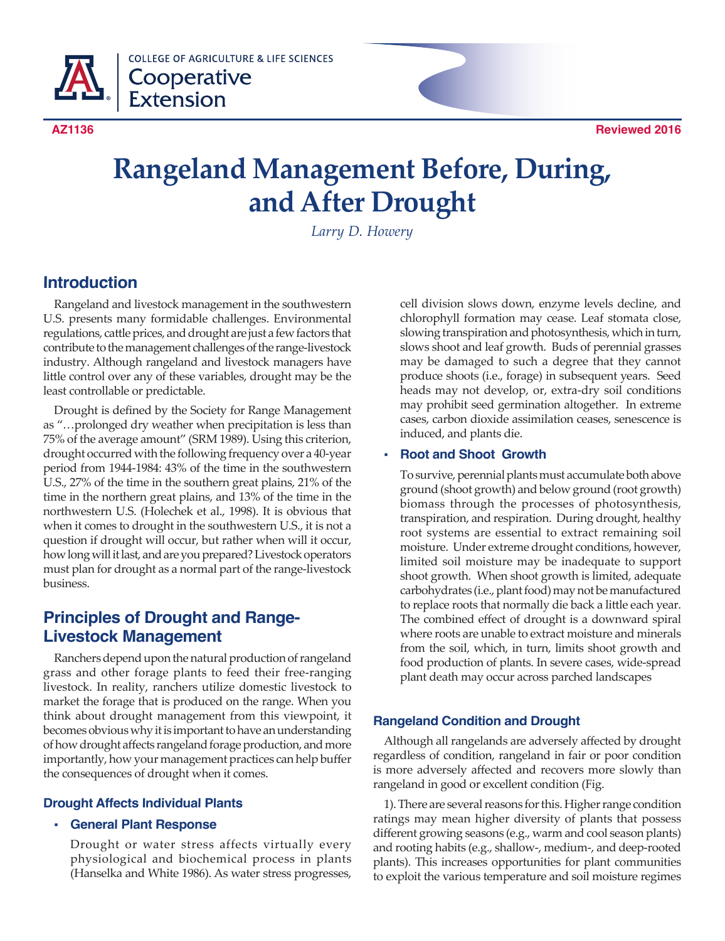

**COLLEGE OF AGRICULTURE & LIFE SCIENCES** Cooperative **Extension** 



# **Rangeland Management Before, During, and After Drought**

*Larry D. Howery*

## **Introduction**

Rangeland and livestock management in the southwestern U.S. presents many formidable challenges. Environmental regulations, cattle prices, and drought are just a few factors that contribute to the management challenges of the range-livestock industry. Although rangeland and livestock managers have little control over any of these variables, drought may be the least controllable or predictable.

Drought is defined by the Society for Range Management as "…prolonged dry weather when precipitation is less than 75% of the average amount" (SRM 1989). Using this criterion, drought occurred with the following frequency over a 40-year period from 1944-1984: 43% of the time in the southwestern U.S., 27% of the time in the southern great plains, 21% of the time in the northern great plains, and 13% of the time in the northwestern U.S. (Holechek et al., 1998). It is obvious that when it comes to drought in the southwestern U.S., it is not a question if drought will occur, but rather when will it occur, how long will it last, and are you prepared? Livestock operators must plan for drought as a normal part of the range-livestock business.

# **Principles of Drought and Range-Livestock Management**

Ranchers depend upon the natural production of rangeland grass and other forage plants to feed their free-ranging livestock. In reality, ranchers utilize domestic livestock to market the forage that is produced on the range. When you think about drought management from this viewpoint, it becomes obvious why it is important to have an understanding of how drought affects rangeland forage production, and more importantly, how your management practices can help buffer the consequences of drought when it comes.

## **Drought Affects Individual Plants**

## **General Plant Response**

Drought or water stress affects virtually every physiological and biochemical process in plants (Hanselka and White 1986). As water stress progresses,

cell division slows down, enzyme levels decline, and chlorophyll formation may cease. Leaf stomata close, slowing transpiration and photosynthesis, which in turn, slows shoot and leaf growth. Buds of perennial grasses may be damaged to such a degree that they cannot produce shoots (i.e., forage) in subsequent years. Seed heads may not develop, or, extra-dry soil conditions may prohibit seed germination altogether. In extreme cases, carbon dioxide assimilation ceases, senescence is induced, and plants die.

## **Root and Shoot Growth**

To survive, perennial plants must accumulate both above ground (shoot growth) and below ground (root growth) biomass through the processes of photosynthesis, transpiration, and respiration. During drought, healthy root systems are essential to extract remaining soil moisture. Under extreme drought conditions, however, limited soil moisture may be inadequate to support shoot growth. When shoot growth is limited, adequate carbohydrates (i.e., plant food) may not be manufactured to replace roots that normally die back a little each year. The combined effect of drought is a downward spiral where roots are unable to extract moisture and minerals from the soil, which, in turn, limits shoot growth and food production of plants. In severe cases, wide-spread plant death may occur across parched landscapes

## **Rangeland Condition and Drought**

Although all rangelands are adversely affected by drought regardless of condition, rangeland in fair or poor condition is more adversely affected and recovers more slowly than rangeland in good or excellent condition (Fig.

1). There are several reasons for this. Higher range condition ratings may mean higher diversity of plants that possess different growing seasons (e.g., warm and cool season plants) and rooting habits (e.g., shallow-, medium-, and deep-rooted plants). This increases opportunities for plant communities to exploit the various temperature and soil moisture regimes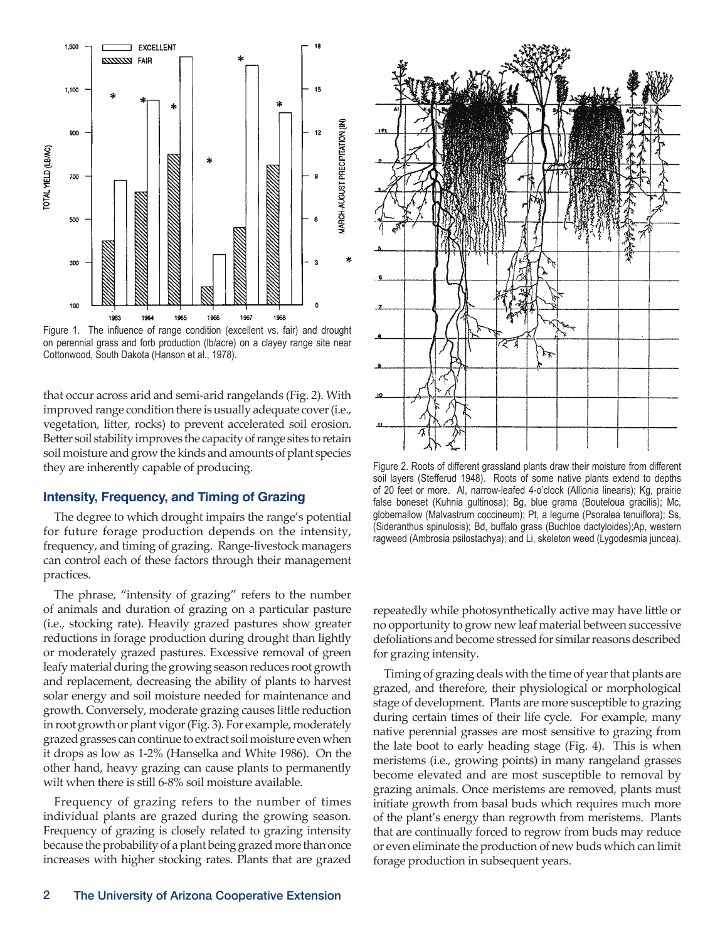

Figure 1. The influence of range condition (excellent vs. fair) and drought on perennial grass and forb production (lb/acre) on a clayey range site near Cottonwood, South Dakota (Hanson et al., 1978).

that occur across arid and semi-arid rangelands (Fig. 2). With improved range condition there is usually adequate cover (i.e., vegetation, litter, rocks) to prevent accelerated soil erosion. Better soil stability improves the capacity of range sites to retain soil moisture and grow the kinds and amounts of plant species they are inherently capable of producing.

#### **Intensity, Frequency, and Timing of Grazing**

The degree to which drought impairs the range's potential for future forage production depends on the intensity, frequency, and timing of grazing. Range-livestock managers can control each of these factors through their management practices.

The phrase, "intensity of grazing" refers to the number of animals and duration of grazing on a particular pasture (i.e., stocking rate). Heavily grazed pastures show greater reductions in forage production during drought than lightly or moderately grazed pastures. Excessive removal of green leafy material during the growing season reduces root growth and replacement, decreasing the ability of plants to harvest solar energy and soil moisture needed for maintenance and growth. Conversely, moderate grazing causes little reduction in root growth or plant vigor (Fig. 3). For example, moderately grazed grasses can continue to extract soil moisture even when it drops as low as 1-2% (Hanselka and White 1986). On the other hand, heavy grazing can cause plants to permanently wilt when there is still 6-8% soil moisture available.

Frequency of grazing refers to the number of times individual plants are grazed during the growing season. Frequency of grazing is closely related to grazing intensity because the probability of a plant being grazed more than once increases with higher stocking rates. Plants that are grazed



Figure 2. Roots of different grassland plants draw their moisture from different soil layers (Stefferud 1948). Roots of some native plants extend to depths of 20 feet or more. Al, narrow-leafed 4-o'clock (Allionia linearis); Kg, prairie false boneset (Kuhnia gultinosa); Bg, blue grama (Bouteloua gracilis); Mc, globemallow (Malvastrum coccineum); Pt, a legume (Psoralea tenuiflora); Ss, (Sideranthus spinulosis); Bd, buffalo grass (Buchloe dactyloides);Ap, western ragweed (Ambrosia psilostachya); and Li, skeleton weed (Lygodesmia juncea).

repeatedly while photosynthetically active may have little or no opportunity to grow new leaf material between successive defoliations and become stressed for similar reasons described for grazing intensity.

Timing of grazing deals with the time of year that plants are grazed, and therefore, their physiological or morphological stage of development. Plants are more susceptible to grazing during certain times of their life cycle. For example, many native perennial grasses are most sensitive to grazing from the late boot to early heading stage (Fig. 4). This is when meristems (i.e., growing points) in many rangeland grasses become elevated and are most susceptible to removal by grazing animals. Once meristems are removed, plants must initiate growth from basal buds which requires much more of the plant's energy than regrowth from meristems. Plants that are continually forced to regrow from buds may reduce or even eliminate the production of new buds which can limit forage production in subsequent years.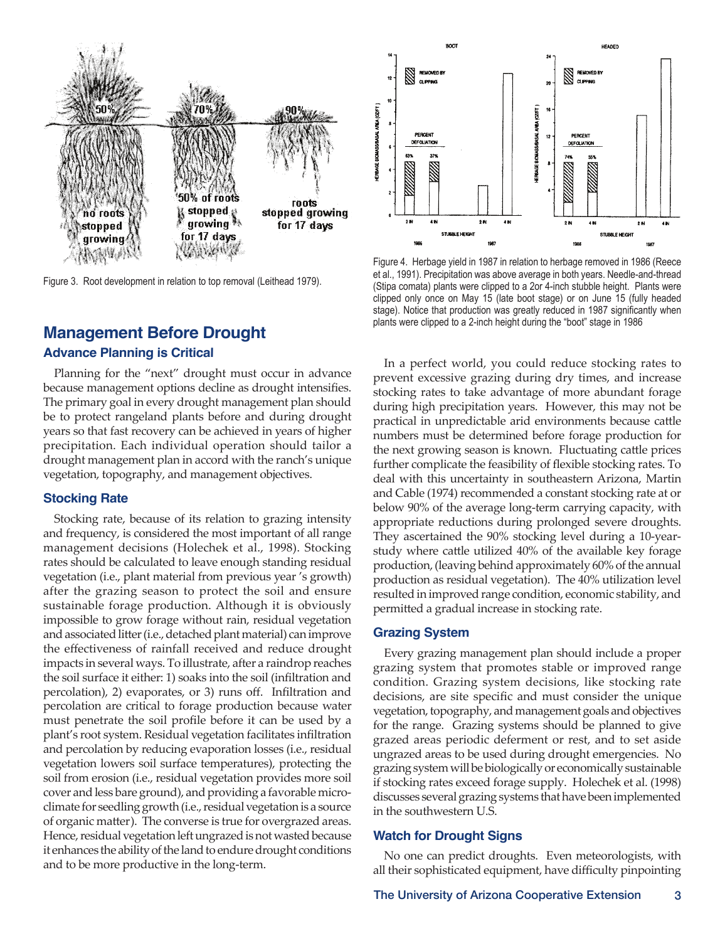

Figure 3. Root development in relation to top removal (Leithead 1979).

# **Management Before Drought**

#### **Advance Planning is Critical**

Planning for the "next" drought must occur in advance because management options decline as drought intensifies. The primary goal in every drought management plan should be to protect rangeland plants before and during drought years so that fast recovery can be achieved in years of higher precipitation. Each individual operation should tailor a drought management plan in accord with the ranch's unique vegetation, topography, and management objectives.

#### **Stocking Rate**

Stocking rate, because of its relation to grazing intensity and frequency, is considered the most important of all range management decisions (Holechek et al., 1998). Stocking rates should be calculated to leave enough standing residual vegetation (i.e., plant material from previous year 's growth) after the grazing season to protect the soil and ensure sustainable forage production. Although it is obviously impossible to grow forage without rain, residual vegetation and associated litter (i.e., detached plant material) can improve the effectiveness of rainfall received and reduce drought impacts in several ways. To illustrate, after a raindrop reaches the soil surface it either: 1) soaks into the soil (infiltration and percolation), 2) evaporates, or 3) runs off. Infiltration and percolation are critical to forage production because water must penetrate the soil profile before it can be used by a plant's root system. Residual vegetation facilitates infiltration and percolation by reducing evaporation losses (i.e., residual vegetation lowers soil surface temperatures), protecting the soil from erosion (i.e., residual vegetation provides more soil cover and less bare ground), and providing a favorable microclimate for seedling growth (i.e., residual vegetation is a source of organic matter). The converse is true for overgrazed areas. Hence, residual vegetation left ungrazed is not wasted because it enhances the ability of the land to endure drought conditions and to be more productive in the long-term.



Figure 4. Herbage yield in 1987 in relation to herbage removed in 1986 (Reece et al., 1991). Precipitation was above average in both years. Needle-and-thread (Stipa comata) plants were clipped to a 2or 4-inch stubble height. Plants were clipped only once on May 15 (late boot stage) or on June 15 (fully headed stage). Notice that production was greatly reduced in 1987 significantly when plants were clipped to a 2-inch height during the "boot" stage in 1986

In a perfect world, you could reduce stocking rates to prevent excessive grazing during dry times, and increase stocking rates to take advantage of more abundant forage during high precipitation years. However, this may not be practical in unpredictable arid environments because cattle numbers must be determined before forage production for the next growing season is known. Fluctuating cattle prices further complicate the feasibility of flexible stocking rates. To deal with this uncertainty in southeastern Arizona, Martin and Cable (1974) recommended a constant stocking rate at or below 90% of the average long-term carrying capacity, with appropriate reductions during prolonged severe droughts. They ascertained the 90% stocking level during a 10-yearstudy where cattle utilized 40% of the available key forage production, (leaving behind approximately 60% of the annual production as residual vegetation). The 40% utilization level resulted in improved range condition, economic stability, and permitted a gradual increase in stocking rate.

#### **Grazing System**

Every grazing management plan should include a proper grazing system that promotes stable or improved range condition. Grazing system decisions, like stocking rate decisions, are site specific and must consider the unique vegetation, topography, and management goals and objectives for the range. Grazing systems should be planned to give grazed areas periodic deferment or rest, and to set aside ungrazed areas to be used during drought emergencies. No grazing system will be biologically or economically sustainable if stocking rates exceed forage supply. Holechek et al. (1998) discusses several grazing systems that have been implemented in the southwestern U.S.

#### **Watch for Drought Signs**

No one can predict droughts. Even meteorologists, with all their sophisticated equipment, have difficulty pinpointing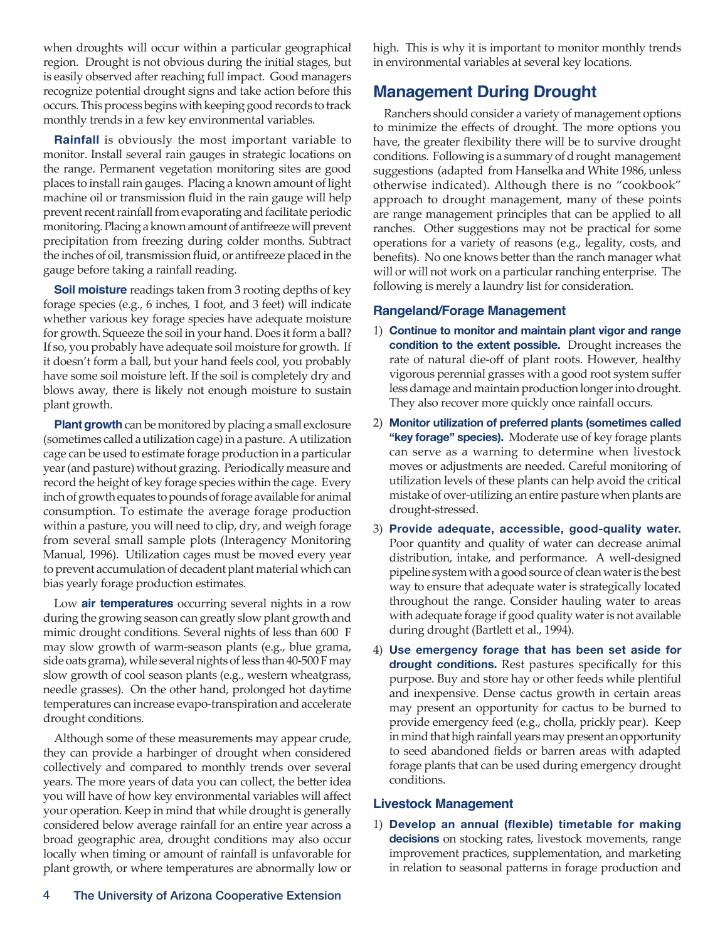when droughts will occur within a particular geographical region. Drought is not obvious during the initial stages, but is easily observed after reaching full impact. Good managers recognize potential drought signs and take action before this occurs. This process begins with keeping good records to track monthly trends in a few key environmental variables.

**Rainfall** is obviously the most important variable to monitor. Install several rain gauges in strategic locations on the range. Permanent vegetation monitoring sites are good places to install rain gauges. Placing a known amount of light machine oil or transmission fluid in the rain gauge will help prevent recent rainfall from evaporating and facilitate periodic monitoring. Placing a known amount of antifreeze will prevent precipitation from freezing during colder months. Subtract the inches of oil, transmission fluid, or antifreeze placed in the gauge before taking a rainfall reading.

**Soil moisture** readings taken from 3 rooting depths of key forage species (e.g., 6 inches, 1 foot, and 3 feet) will indicate whether various key forage species have adequate moisture for growth. Squeeze the soil in your hand. Does it form a ball? If so, you probably have adequate soil moisture for growth. If it doesn't form a ball, but your hand feels cool, you probably have some soil moisture left. If the soil is completely dry and blows away, there is likely not enough moisture to sustain plant growth.

**Plant growth** can be monitored by placing a small exclosure (sometimes called a utilization cage) in a pasture. A utilization cage can be used to estimate forage production in a particular year (and pasture) without grazing. Periodically measure and record the height of key forage species within the cage. Every inch of growth equates to pounds of forage available for animal consumption. To estimate the average forage production within a pasture, you will need to clip, dry, and weigh forage from several small sample plots (Interagency Monitoring Manual, 1996). Utilization cages must be moved every year to prevent accumulation of decadent plant material which can bias yearly forage production estimates.

Low **air temperatures** occurring several nights in a row during the growing season can greatly slow plant growth and mimic drought conditions. Several nights of less than 600 F may slow growth of warm-season plants (e.g., blue grama, side oats grama), while several nights of less than 40-500 F may slow growth of cool season plants (e.g., western wheatgrass, needle grasses). On the other hand, prolonged hot daytime temperatures can increase evapo-transpiration and accelerate drought conditions.

Although some of these measurements may appear crude, they can provide a harbinger of drought when considered collectively and compared to monthly trends over several years. The more years of data you can collect, the better idea you will have of how key environmental variables will affect your operation. Keep in mind that while drought is generally considered below average rainfall for an entire year across a broad geographic area, drought conditions may also occur locally when timing or amount of rainfall is unfavorable for plant growth, or where temperatures are abnormally low or

high. This is why it is important to monitor monthly trends in environmental variables at several key locations.

## **Management During Drought**

Ranchers should consider a variety of management options to minimize the effects of drought. The more options you have, the greater flexibility there will be to survive drought conditions. Following is a summary of d rought management suggestions (adapted from Hanselka and White 1986, unless otherwise indicated). Although there is no "cookbook" approach to drought management, many of these points are range management principles that can be applied to all ranches. Other suggestions may not be practical for some operations for a variety of reasons (e.g., legality, costs, and benefits). No one knows better than the ranch manager what will or will not work on a particular ranching enterprise. The following is merely a laundry list for consideration.

## **Rangeland/Forage Management**

- 1) **Continue to monitor and maintain plant vigor and range condition to the extent possible.** Drought increases the rate of natural die-off of plant roots. However, healthy vigorous perennial grasses with a good root system suffer less damage and maintain production longer into drought. They also recover more quickly once rainfall occurs.
- 2) **Monitor utilization of preferred plants (sometimes called "key forage" species).** Moderate use of key forage plants can serve as a warning to determine when livestock moves or adjustments are needed. Careful monitoring of utilization levels of these plants can help avoid the critical mistake of over-utilizing an entire pasture when plants are drought-stressed.
- 3) **Provide adequate, accessible, good-quality water.** Poor quantity and quality of water can decrease animal distribution, intake, and performance. A well-designed pipeline system with a good source of clean water is the best way to ensure that adequate water is strategically located throughout the range. Consider hauling water to areas with adequate forage if good quality water is not available during drought (Bartlett et al., 1994).
- 4) **Use emergency forage that has been set aside for drought conditions.** Rest pastures specifically for this purpose. Buy and store hay or other feeds while plentiful and inexpensive. Dense cactus growth in certain areas may present an opportunity for cactus to be burned to provide emergency feed (e.g., cholla, prickly pear). Keep in mind that high rainfall years may present an opportunity to seed abandoned fields or barren areas with adapted forage plants that can be used during emergency drought conditions.

## **Livestock Management**

1) **Develop an annual (flexible) timetable for making decisions** on stocking rates, livestock movements, range improvement practices, supplementation, and marketing in relation to seasonal patterns in forage production and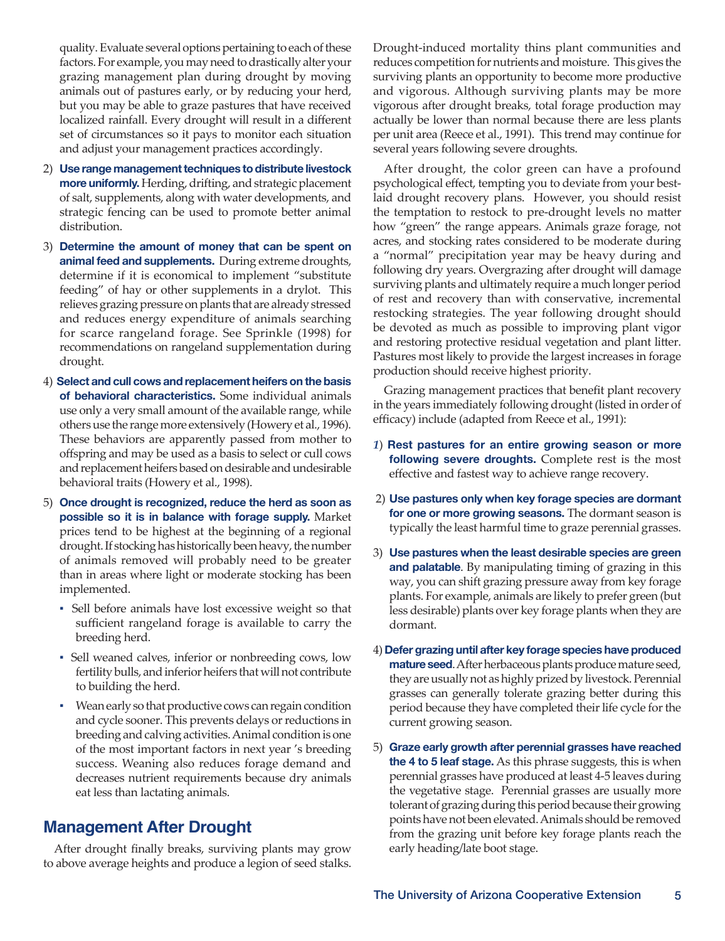quality. Evaluate several options pertaining to each of these factors. For example, you may need to drastically alter your grazing management plan during drought by moving animals out of pastures early, or by reducing your herd, but you may be able to graze pastures that have received localized rainfall. Every drought will result in a different set of circumstances so it pays to monitor each situation and adjust your management practices accordingly.

- 2) **Use range management techniques to distribute livestock more uniformly.** Herding, drifting, and strategic placement of salt, supplements, along with water developments, and strategic fencing can be used to promote better animal distribution.
- 3) **Determine the amount of money that can be spent on animal feed and supplements.** During extreme droughts, determine if it is economical to implement "substitute feeding" of hay or other supplements in a drylot. This relieves grazing pressure on plants that are already stressed and reduces energy expenditure of animals searching for scarce rangeland forage. See Sprinkle (1998) for recommendations on rangeland supplementation during drought.
- 4) **Select and cull cows and replacement heifers on the basis of behavioral characteristics.** Some individual animals use only a very small amount of the available range, while others use the range more extensively (Howery et al., 1996). These behaviors are apparently passed from mother to offspring and may be used as a basis to select or cull cows and replacement heifers based on desirable and undesirable behavioral traits (Howery et al., 1998).
- 5) **Once drought is recognized, reduce the herd as soon as possible so it is in balance with forage supply.** Market prices tend to be highest at the beginning of a regional drought. If stocking has historically been heavy, the number of animals removed will probably need to be greater than in areas where light or moderate stocking has been implemented.
	- Sell before animals have lost excessive weight so that sufficient rangeland forage is available to carry the breeding herd.
	- Sell weaned calves, inferior or nonbreeding cows, low fertility bulls, and inferior heifers that will not contribute to building the herd.
	- Wean early so that productive cows can regain condition and cycle sooner. This prevents delays or reductions in breeding and calving activities. Animal condition is one of the most important factors in next year 's breeding success. Weaning also reduces forage demand and decreases nutrient requirements because dry animals eat less than lactating animals.

# **Management After Drought**

After drought finally breaks, surviving plants may grow to above average heights and produce a legion of seed stalks. Drought-induced mortality thins plant communities and reduces competition for nutrients and moisture. This gives the surviving plants an opportunity to become more productive and vigorous. Although surviving plants may be more vigorous after drought breaks, total forage production may actually be lower than normal because there are less plants per unit area (Reece et al., 1991). This trend may continue for several years following severe droughts.

After drought, the color green can have a profound psychological effect, tempting you to deviate from your bestlaid drought recovery plans. However, you should resist the temptation to restock to pre-drought levels no matter how "green" the range appears. Animals graze forage, not acres, and stocking rates considered to be moderate during <sup>a</sup>"normal" precipitation year may be heavy during and following dry years. Overgrazing after drought will damage surviving plants and ultimately require a much longer period of rest and recovery than with conservative, incremental restocking strategies. The year following drought should be devoted as much as possible to improving plant vigor and restoring protective residual vegetation and plant litter. Pastures most likely to provide the largest increases in forage production should receive highest priority.

Grazing management practices that benefit plant recovery in the years immediately following drought (listed in order of efficacy) include (adapted from Reece et al., 1991):

- *1*) **Rest pastures for an entire growing season or more following severe droughts.** Complete rest is the most effective and fastest way to achieve range recovery.
- 2) **Use pastures only when key forage species are dormant for one or more growing seasons.** The dormant season is typically the least harmful time to graze perennial grasses.
- 3) **Use pastures when the least desirable species are green and palatable**. By manipulating timing of grazing in this way, you can shift grazing pressure away from key forage plants. For example, animals are likely to prefer green (but less desirable) plants over key forage plants when they are dormant.
- 4) **Defer grazing until after key forage species have produced mature seed**. After herbaceous plants produce mature seed, they are usually not as highly prized by livestock. Perennial grasses can generally tolerate grazing better during this period because they have completed their life cycle for the current growing season.
- 5) **Graze early growth after perennial grasses have reached the 4 to 5 leaf stage.** As this phrase suggests, this is when perennial grasses have produced at least 4-5 leaves during the vegetative stage. Perennial grasses are usually more tolerant of grazing during this period because their growing points have not been elevated. Animals should be removed from the grazing unit before key forage plants reach the early heading/late boot stage.